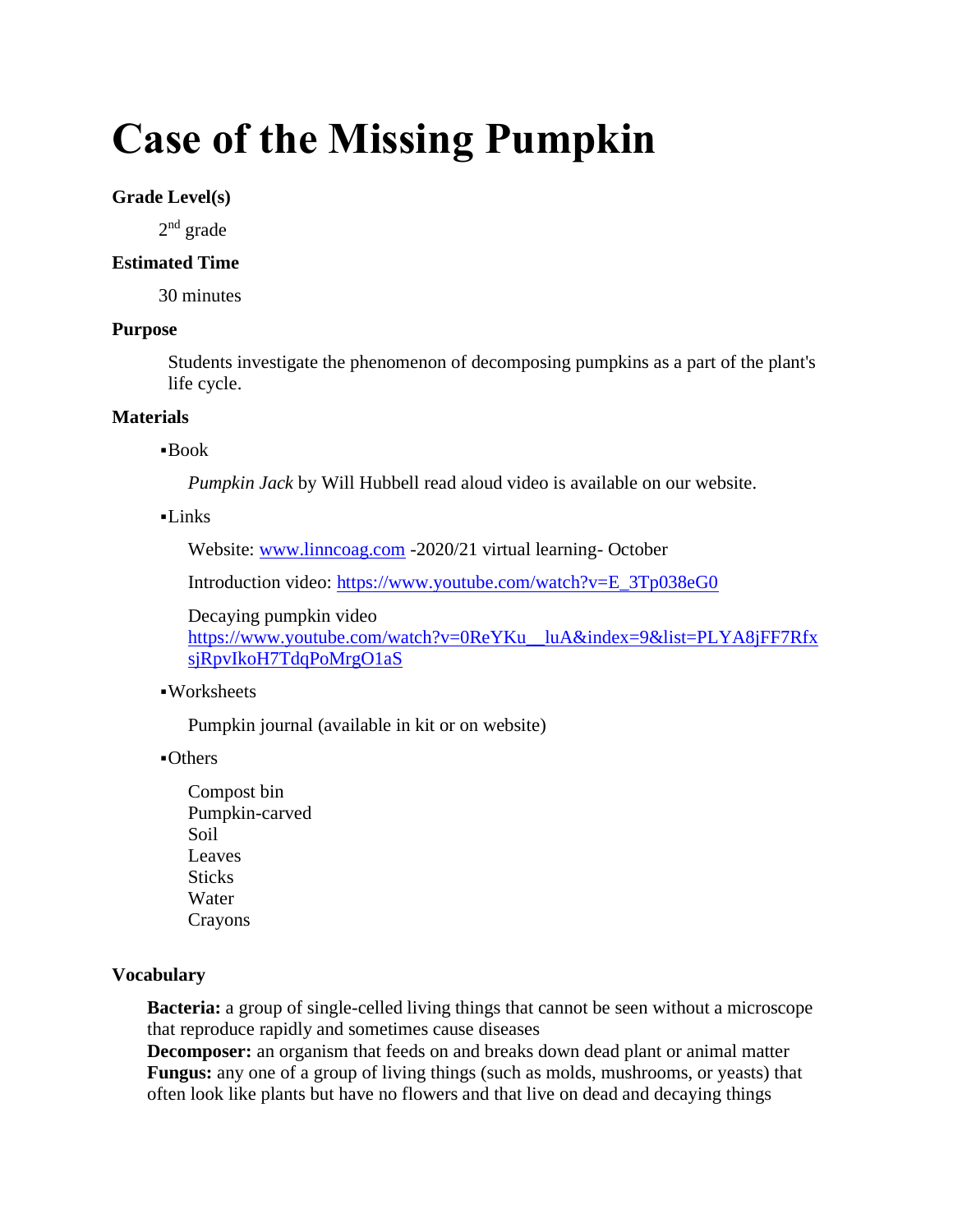# **Case of the Missing Pumpkin**

## **Grade Level(s)**

2<sup>nd</sup> grade

#### **Estimated Time**

30 minutes

## **Purpose**

Students investigate the phenomenon of decomposing pumpkins as a part of the plant's life cycle.

## **Materials**

## $\blacksquare$ Book

*Pumpkin Jack* by Will Hubbell read aloud video is available on our website.

#### $-I$  inks

Website: [www.linncoag.com](http://www.linncoag.com/) -2020/21 virtual learning- October

Introduction video: [https://www.youtube.com/watch?v=E\\_3Tp038eG0](https://www.youtube.com/watch?v=E_3Tp038eG0)

Decaying pumpkin video [https://www.youtube.com/watch?v=0ReYKu\\_\\_luA&index=9&list=PLYA8jFF7Rfx](https://www.youtube.com/watch?v=0ReYKu__luA&index=9&list=PLYA8jFF7RfxsjRpvIkoH7TdqPoMrgO1aS) [sjRpvIkoH7TdqPoMrgO1aS](https://www.youtube.com/watch?v=0ReYKu__luA&index=9&list=PLYA8jFF7RfxsjRpvIkoH7TdqPoMrgO1aS)

# ▪Worksheets

Pumpkin journal (available in kit or on website)

▪Others

Compost bin Pumpkin-carved Soil Leaves **Sticks** Water Crayons

# **Vocabulary**

**Bacteria:** a group of single-celled living things that cannot be seen without a microscope that reproduce rapidly and sometimes cause diseases

**Decomposer:** an organism that feeds on and breaks down dead plant or animal matter **Fungus:** any one of a group of living things (such as molds, mushrooms, or yeasts) that often look like plants but have no flowers and that live on dead and decaying things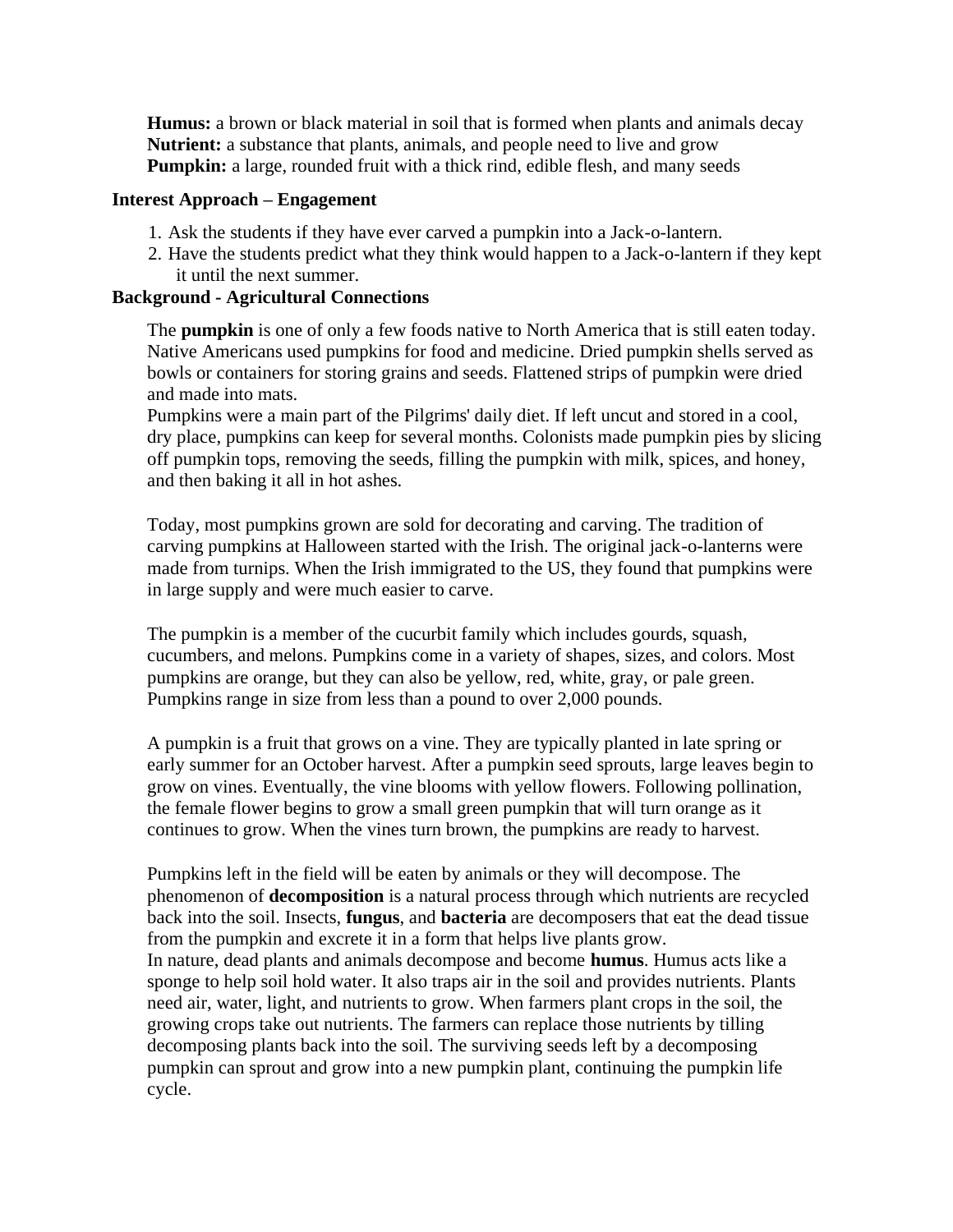**Humus:** a brown or black material in soil that is formed when plants and animals decay **Nutrient:** a substance that plants, animals, and people need to live and grow **Pumpkin:** a large, rounded fruit with a thick rind, edible flesh, and many seeds

#### **Interest Approach – Engagement**

- 1. Ask the students if they have ever carved a pumpkin into a Jack-o-lantern.
- 2. Have the students predict what they think would happen to a Jack-o-lantern if they kept it until the next summer.

#### **Background - Agricultural Connections**

The **pumpkin** is one of only a few foods native to North America that is still eaten today. Native Americans used pumpkins for food and medicine. Dried pumpkin shells served as bowls or containers for storing grains and seeds. Flattened strips of pumpkin were dried and made into mats.

Pumpkins were a main part of the Pilgrims' daily diet. If left uncut and stored in a cool, dry place, pumpkins can keep for several months. Colonists made pumpkin pies by slicing off pumpkin tops, removing the seeds, filling the pumpkin with milk, spices, and honey, and then baking it all in hot ashes.

Today, most pumpkins grown are sold for decorating and carving. The tradition of carving pumpkins at Halloween started with the Irish. The original jack-o-lanterns were made from turnips. When the Irish immigrated to the US, they found that pumpkins were in large supply and were much easier to carve.

The pumpkin is a member of the cucurbit family which includes gourds, squash, cucumbers, and melons. Pumpkins come in a variety of shapes, sizes, and colors. Most pumpkins are orange, but they can also be yellow, red, white, gray, or pale green. Pumpkins range in size from less than a pound to over 2,000 pounds.

A pumpkin is a fruit that grows on a vine. They are typically planted in late spring or early summer for an October harvest. After a pumpkin seed sprouts, large leaves begin to grow on vines. Eventually, the vine blooms with yellow flowers. Following pollination, the female flower begins to grow a small green pumpkin that will turn orange as it continues to grow. When the vines turn brown, the pumpkins are ready to harvest.

Pumpkins left in the field will be eaten by animals or they will decompose. The phenomenon of **decomposition** is a natural process through which nutrients are recycled back into the soil. Insects, **fungus**, and **bacteria** are decomposers that eat the dead tissue from the pumpkin and excrete it in a form that helps live plants grow. In nature, dead plants and animals decompose and become **humus**. Humus acts like a sponge to help soil hold water. It also traps air in the soil and provides nutrients. Plants need air, water, light, and nutrients to grow. When farmers plant crops in the soil, the growing crops take out nutrients. The farmers can replace those nutrients by tilling decomposing plants back into the soil. The surviving seeds left by a decomposing pumpkin can sprout and grow into a new pumpkin plant, continuing the pumpkin life cycle.